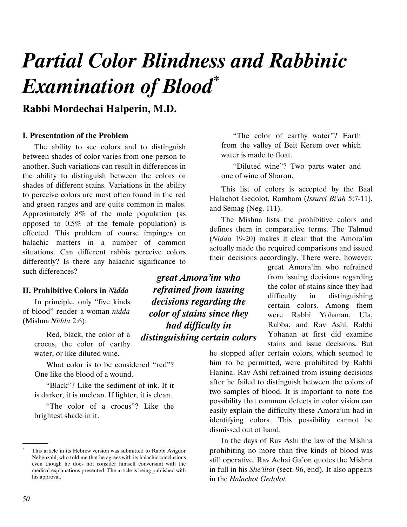# Partial Color Blindness and Rabbinic Examination of Blood\*

## Rabbi Mordechai Halperin, M.D.

#### **I. Presentation of the Problem**

The ability to see colors and to distinguish between shades of color varies from one person to another. Such variations can result in differences in the ability to distinguish between the colors or shades of different stains. Variations in the ability to perceive colors are most often found in the red and green ranges and are quite common in males. Approximately 8% of the male population (as opposed to 0.5% of the female population) is effected. This problem of course impinges on halachic matters in a number of common situations. Can different rabbis perceive colors differently? Is there any halachic significance to such differences?

#### II. Prohibitive Colors in Nidda

In principle, only "five kinds of blood" render a woman nidda (Mishna Nidda 2:6):

> Red, black, the color of a crocus, the color of earthy water, or like diluted wine.

What color is to be considered "red"? One like the blood of a wound.

"Black"? Like the sediment of ink. If it is darker, it is unclean. If lighter, it is clean.

"The color of a crocus"? Like the brightest shade in it.

great Amora'im who refrained from issuing decisions regarding the color of stains since they had difficulty in

"The color of earthy water"? Earth from the valley of Beit Kerem over which water is made to float.

"Diluted wine"? Two parts water and one of wine of Sharon.

This list of colors is accepted by the Baal Halachot Gedolot, Rambam (Issurei Bi'ah 5:7-11), and Semag (Neg. 111).

The Mishna lists the prohibitive colors and defines them in comparative terms. The Talmud (Nidda 19-20) makes it clear that the Amora'im actually made the required comparisons and issued their decisions accordingly. There were, however,

> great Amora'im who refrained from issuing decisions regarding the color of stains since they had difficulty in distinguishing certain colors. Among them were Rabbi Yohanan, Ula, Rabba, and Rav Ashi. Rabbi Yohanan at first did examine stains and issue decisions. But

he stopped after certain colors, which seemed to him to be permitted, were prohibited by Rabbi Hanina. Rav Ashi refrained from issuing decisions after he failed to distinguish between the colors of two samples of blood. It is important to note the possibility that common defects in color vision can easily explain the difficulty these Amora'im had in identifying colors. This possibility cannot be dismissed out of hand.

In the days of Rav Ashi the law of the Mishna prohibiting no more than five kinds of blood was still operative. Rav Achai Ga'on quotes the Mishna in full in his She'iltot (sect. 96, end). It also appears in the Halachot Gedolot.

\*

.

distinguishing certain colors

This article in its Hebrew version was submitted to Rabbi Avigdor Nebenzahl, who told me that he agrees with its halachic conclusions even though he does not consider himself conversant with the medical explanations presented. The article is being published with his approval.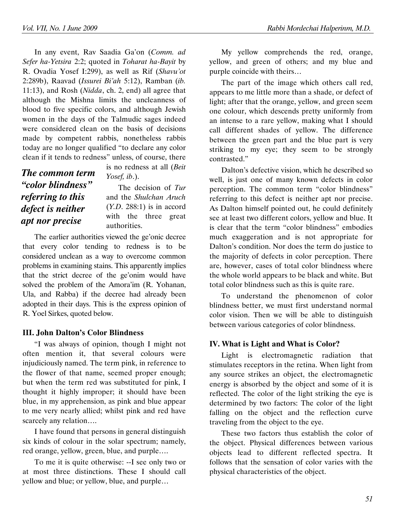In any event, Rav Saadia Ga'on (Comm. ad Sefer ha-Yetsira 2:2; quoted in Toharat ha-Bayit by R. Ovadia Yosef I:299), as well as Rif (Shavu'ot 2:289b), Raavad (Issurei Bi'ah 5:12), Ramban (ib. 11:13), and Rosh (Nidda, ch. 2, end) all agree that although the Mishna limits the uncleanness of blood to five specific colors, and although Jewish women in the days of the Talmudic sages indeed were considered clean on the basis of decisions made by competent rabbis, nonetheless rabbis today are no longer qualified "to declare any color clean if it tends to redness" unless, of course, there

The common term "color blindness" referring to this defect is neither apt nor precise

is no redness at all (Beit Yosef, ib.).

The decision of Tur and the Shulchan Aruch  $(Y.D. 288:1)$  is in accord with the three great authorities.

The earlier authorities viewed the ge'onic decree that every color tending to redness is to be considered unclean as a way to overcome common problems in examining stains. This apparently implies that the strict decree of the ge'onim would have solved the problem of the Amora'im (R. Yohanan, Ula, and Rabba) if the decree had already been adopted in their days. This is the express opinion of R. Yoel Sirkes, quoted below.

## III. John Dalton's Color Blindness

"I was always of opinion, though I might not often mention it, that several colours were injudiciously named. The term pink, in reference to the flower of that name, seemed proper enough; but when the term red was substituted for pink, I thought it highly improper; it should have been blue, in my apprehension, as pink and blue appear to me very nearly allied; whilst pink and red have scarcely any relation….

I have found that persons in general distinguish six kinds of colour in the solar spectrum; namely, red orange, yellow, green, blue, and purple….

To me it is quite otherwise: --I see only two or at most three distinctions. These I should call yellow and blue; or yellow, blue, and purple…

My yellow comprehends the red, orange, yellow, and green of others; and my blue and purple coincide with theirs…

The part of the image which others call red, appears to me little more than a shade, or defect of light; after that the orange, yellow, and green seem one colour, which descends pretty uniformly from an intense to a rare yellow, making what I should call different shades of yellow. The difference between the green part and the blue part is very striking to my eye; they seem to be strongly contrasted."

Dalton's defective vision, which he described so well, is just one of many known defects in color perception. The common term "color blindness" referring to this defect is neither apt nor precise. As Dalton himself pointed out, he could definitely see at least two different colors, yellow and blue. It is clear that the term "color blindness" embodies much exaggeration and is not appropriate for Dalton's condition. Nor does the term do justice to the majority of defects in color perception. There are, however, cases of total color blindness where the whole world appears to be black and white. But total color blindness such as this is quite rare.

To understand the phenomenon of color blindness better, we must first understand normal color vision. Then we will be able to distinguish between various categories of color blindness.

## IV. What is Light and What is Color?

Light is electromagnetic radiation that stimulates receptors in the retina. When light from any source strikes an object, the electromagnetic energy is absorbed by the object and some of it is reflected. The color of the light striking the eye is determined by two factors: The color of the light falling on the object and the reflection curve traveling from the object to the eye.

These two factors thus establish the color of the object. Physical differences between various objects lead to different reflected spectra. It follows that the sensation of color varies with the physical characteristics of the object.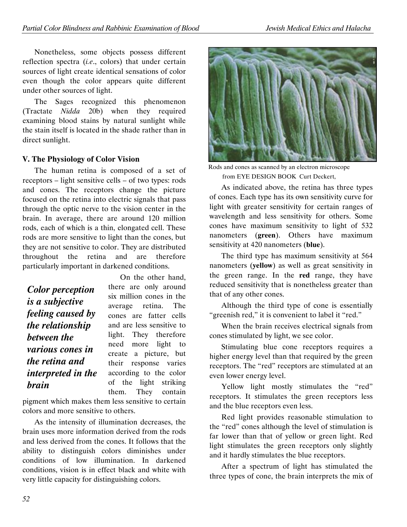Nonetheless, some objects possess different reflection spectra (i.e., colors) that under certain sources of light create identical sensations of color even though the color appears quite different under other sources of light.

The Sages recognized this phenomenon (Tractate Nidda 20b) when they required examining blood stains by natural sunlight while the stain itself is located in the shade rather than in direct sunlight.

## V. The Physiology of Color Vision

The human retina is composed of a set of receptors – light sensitive cells – of two types: rods and cones. The receptors change the picture focused on the retina into electric signals that pass through the optic nerve to the vision center in the brain. In average, there are around 120 million rods, each of which is a thin, elongated cell. These rods are more sensitive to light than the cones, but they are not sensitive to color. They are distributed throughout the retina and are therefore particularly important in darkened conditions.

Color perception is a subjective feeling caused by the relationship between the various cones in the retina and interpreted in the brain

On the other hand, there are only around six million cones in the average retina. The cones are fatter cells and are less sensitive to light. They therefore need more light to create a picture, but their response varies according to the color of the light striking them. They contain

pigment which makes them less sensitive to certain colors and more sensitive to others.

As the intensity of illumination decreases, the brain uses more information derived from the rods and less derived from the cones. It follows that the ability to distinguish colors diminishes under conditions of low illumination. In darkened conditions, vision is in effect black and white with very little capacity for distinguishing colors.



Rods and cones as scanned by an electron microscope from EYE DESIGN BOOK Curt Deckert,

As indicated above, the retina has three types of cones. Each type has its own sensitivity curve for light with greater sensitivity for certain ranges of wavelength and less sensitivity for others. Some cones have maximum sensitivity to light of 532 nanometers (green). Others have maximum sensitivity at 420 nanometers (blue).

The third type has maximum sensitivity at 564 nanometers (yellow) as well as great sensitivity in the green range. In the red range, they have reduced sensitivity that is nonetheless greater than that of any other cones.

Although the third type of cone is essentially "greenish red," it is convenient to label it "red."

When the brain receives electrical signals from cones stimulated by light, we see color.

Stimulating blue cone receptors requires a higher energy level than that required by the green receptors. The "red" receptors are stimulated at an even lower energy level.

Yellow light mostly stimulates the "red" receptors. It stimulates the green receptors less and the blue receptors even less.

Red light provides reasonable stimulation to the "red" cones although the level of stimulation is far lower than that of yellow or green light. Red light stimulates the green receptors only slightly and it hardly stimulates the blue receptors.

After a spectrum of light has stimulated the three types of cone, the brain interprets the mix of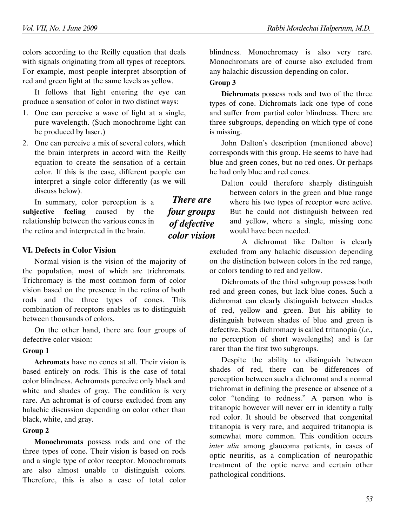colors according to the Reilly equation that deals with signals originating from all types of receptors. For example, most people interpret absorption of red and green light at the same levels as yellow.

It follows that light entering the eye can produce a sensation of color in two distinct ways:

- 1. One can perceive a wave of light at a single, pure wavelength. (Such monochrome light can be produced by laser.)
- 2. One can perceive a mix of several colors, which the brain interprets in accord with the Reilly equation to create the sensation of a certain color. If this is the case, different people can interpret a single color differently (as we will discuss below).

In summary, color perception is a subjective feeling caused by the relationship between the various cones in the retina and interpreted in the brain.

VI. Defects in Color Vision

Normal vision is the vision of the majority of the population, most of which are trichromats. Trichromacy is the most common form of color vision based on the presence in the retina of both rods and the three types of cones. This combination of receptors enables us to distinguish between thousands of colors.

On the other hand, there are four groups of defective color vision:

#### Group 1

Achromats have no cones at all. Their vision is based entirely on rods. This is the case of total color blindness. Achromats perceive only black and white and shades of gray. The condition is very rare. An achromat is of course excluded from any halachic discussion depending on color other than black, white, and gray.

#### Group 2

Monochromats possess rods and one of the three types of cone. Their vision is based on rods and a single type of color receptor. Monochromats are also almost unable to distinguish colors. Therefore, this is also a case of total color

blindness. Monochromacy is also very rare. Monochromats are of course also excluded from any halachic discussion depending on color.

#### Group 3

Dichromats possess rods and two of the three types of cone. Dichromats lack one type of cone and suffer from partial color blindness. There are three subgroups, depending on which type of cone is missing.

John Dalton's description (mentioned above) corresponds with this group. He seems to have had blue and green cones, but no red ones. Or perhaps he had only blue and red cones.

Dalton could therefore sharply distinguish between colors in the green and blue range where his two types of receptor were active. But he could not distinguish between red and yellow, where a single, missing cone would have been needed.

A dichromat like Dalton is clearly excluded from any halachic discussion depending on the distinction between colors in the red range, or colors tending to red and yellow.

Dichromats of the third subgroup possess both red and green cones, but lack blue cones. Such a dichromat can clearly distinguish between shades of red, yellow and green. But his ability to distinguish between shades of blue and green is defective. Such dichromacy is called tritanopia  $(i.e.,$ no perception of short wavelengths) and is far rarer than the first two subgroups.

Despite the ability to distinguish between shades of red, there can be differences of perception between such a dichromat and a normal trichromat in defining the presence or absence of a color "tending to redness." A person who is tritanopic however will never err in identify a fully red color. It should be observed that congenital tritanopia is very rare, and acquired tritanopia is somewhat more common. This condition occurs inter alia among glaucoma patients, in cases of optic neuritis, as a complication of neuropathic treatment of the optic nerve and certain other pathological conditions.

There are four groups of defective color vision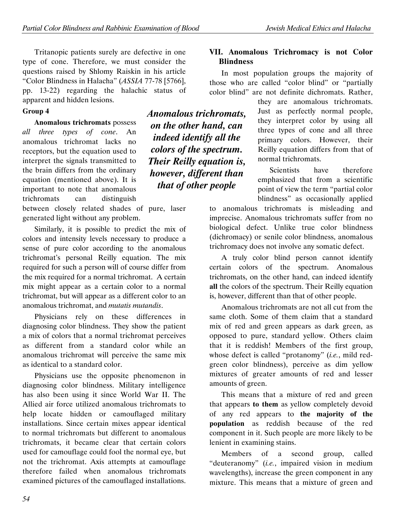Tritanopic patients surely are defective in one type of cone. Therefore, we must consider the questions raised by Shlomy Raiskin in his article "Color Blindness in Halacha" (ASSIA 77-78 [5766], pp. 13-22) regarding the halachic status of apparent and hidden lesions.

#### Group 4

Anomalous trichromats possess all three types of cone. An anomalous trichromat lacks no receptors, but the equation used to interpret the signals transmitted to the brain differs from the ordinary equation (mentioned above). It is important to note that anomalous trichromats can distinguish

between closely related shades of pure, laser generated light without any problem.

Similarly, it is possible to predict the mix of colors and intensity levels necessary to produce a sense of pure color according to the anomalous trichromat's personal Reilly equation. The mix required for such a person will of course differ from the mix required for a normal trichromat. A certain mix might appear as a certain color to a normal trichromat, but will appear as a different color to an anomalous trichromat, and *mutatis mutandis*.

Physicians rely on these differences in diagnosing color blindness. They show the patient a mix of colors that a normal trichromat perceives as different from a standard color while an anomalous trichromat will perceive the same mix as identical to a standard color.

Physicians use the opposite phenomenon in diagnosing color blindness. Military intelligence has also been using it since World War II. The Allied air force utilized anomalous trichromats to help locate hidden or camouflaged military installations. Since certain mixes appear identical to normal trichromats but different to anomalous trichromats, it became clear that certain colors used for camouflage could fool the normal eye, but not the trichromat. Axis attempts at camouflage therefore failed when anomalous trichromats examined pictures of the camouflaged installations.

54

Anomalous trichromats, on the other hand, can indeed identify all the colors of the spectrum. Their Reilly equation is, however, different than that of other people

## VII. Anomalous Trichromacy is not Color **Blindness**

In most population groups the majority of those who are called "color blind" or "partially color blind" are not definite dichromats. Rather,

> they are anomalous trichromats. Just as perfectly normal people, they interpret color by using all three types of cone and all three primary colors. However, their Reilly equation differs from that of normal trichromats.

> Scientists have therefore emphasized that from a scientific point of view the term "partial color blindness" as occasionally applied

to anomalous trichromats is misleading and imprecise. Anomalous trichromats suffer from no biological defect. Unlike true color blindness (dichromacy) or senile color blindness, anomalous trichromacy does not involve any somatic defect.

A truly color blind person cannot identify certain colors of the spectrum. Anomalous trichromats, on the other hand, can indeed identify all the colors of the spectrum. Their Reilly equation is, however, different than that of other people.

Anomalous trichromats are not all cut from the same cloth. Some of them claim that a standard mix of red and green appears as dark green, as opposed to pure, standard yellow. Others claim that it is reddish! Members of the first group, whose defect is called "protanomy" (i.e., mild redgreen color blindness), perceive as dim yellow mixtures of greater amounts of red and lesser amounts of green.

This means that a mixture of red and green that appears to them as yellow completely devoid of any red appears to the majority of the population as reddish because of the red component in it. Such people are more likely to be lenient in examining stains.

Members of a second group, called "deuteranomy" (i.e., impaired vision in medium wavelengths), increase the green component in any mixture. This means that a mixture of green and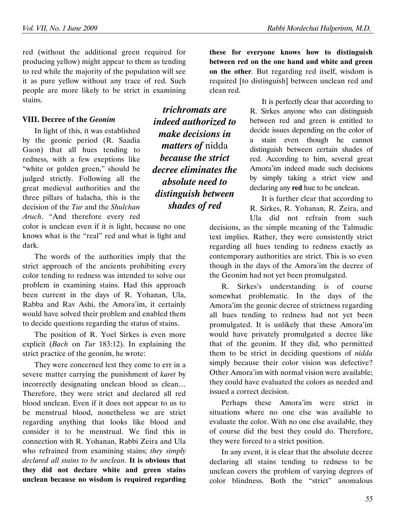red (without the additional green required for producing yellow) might appear to them as tending to red while the majority of the population will see it as pure yellow without any trace of red. Such people are more likely to be strict in examining stains.

#### VIII. Decree of the Geonim

In light of this, it was established by the geonic period (R. Saadia Gaon) that all hues tending to redness, with a few exeptions like "white or golden green," should be judged strictly. Following all the great medieval authorities and the three pillars of halacha, this is the decision of the Tur and the Shulchan Aruch. "And therefore every red

color is unclean even if it is light, because no one knows what is the "real" red and what is light and dark.

The words of the authorities imply that the strict approach of the ancients prohibiting every color tending to redness was intended to solve our problem in examining stains. Had this approach been current in the days of R. Yohanan, Ula, Rabba and Rav Ashi, the Amora'im, it certainly would have solved their problem and enabled them to decide questions regarding the status of stains.

The position of R. Yoel Sirkes is even more explicit (Bach on Tur 183:12). In explaining the strict practice of the geonim, he wrote:

They were concerned lest they come to err in a severe matter carrying the punishment of karet by incorrectly designating unclean blood as clean… Therefore, they were strict and declared all red blood unclean. Even if it does not appear to us to be menstrual blood, nonetheless we are strict regarding anything that looks like blood and consider it to be menstrual. We find this in connection with R. Yohanan, Rabbi Zeira and Ula who refrained from examining stains; they simply declared all stains to be unclean. It is obvious that they did not declare white and green stains unclean because no wisdom is required regarding

trichromats are indeed authorized to make decisions in matters of nidda because the strict decree eliminates the absolute need to distinguish between shades of red

these for everyone knows how to distinguish between red on the one hand and white and green on the other. But regarding red itself, wisdom is required [to distinguish] between unclean red and clean red.

> It is perfectly clear that according to R. Sirkes anyone who can distinguish between red and green is entitled to decide issues depending on the color of a stain even though he cannot distinguish between certain shades of red. According to him, several great Amora'im indeed made such decisions by simply taking a strict view and declaring any red hue to be unclean.

> It is further clear that according to R. Sirkes, R. Yohanan, R. Zeira, and Ula did not refrain from such

decisions, as the simple meaning of the Talmudic text implies. Rather, they were consistently strict regarding all hues tending to redness exactly as contemporary authorities are strict. This is so even though in the days of the Amora'im the decree of the Geonim had not yet been promulgated.

R. Sirkes's understanding is of course somewhat problematic. In the days of the Amora'im the geonic decree of strictness regarding all hues tending to redness had not yet been promulgated. It is unlikely that these Amora'im would have privately promulgated a decree like that of the geonim. If they did, who permitted them to be strict in deciding questions of nidda simply because their color vision was defective? Other Amora'im with normal vision were available; they could have evaluated the colors as needed and issued a correct decision.

Perhaps these Amora'im were strict in situations where no one else was available to evaluate the color. With no one else available, they of course did the best they could do. Therefore, they were forced to a strict position.

In any event, it is clear that the absolute decree declaring all stains tending to redness to be unclean covers the problem of varying degrees of color blindness. Both the "strict" anomalous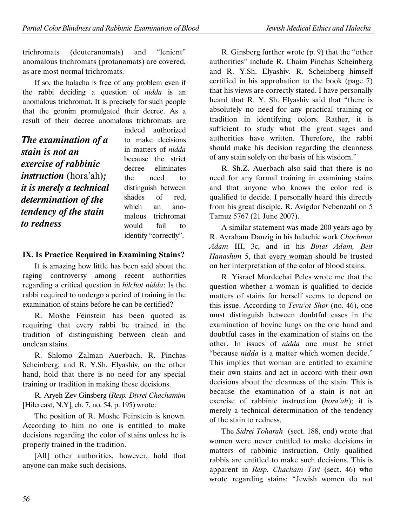trichromats (deuteranomats) and "lenient" anomalous trichromats (protanomats) are covered, as are most normal trichromats.

If so, the halacha is free of any problem even if the rabbi deciding a question of *nidda* is an anomalous trichromat. It is precisely for such people that the geonim promulgated their decree. As a result of their decree anomalous trichromats are

The examination of a stain is not an exercise of rabbinic instruction (hora'ah); it is merely a technical determination of the tendency of the stain to redness

indeed authorized to make decisions in matters of nidda because the strict decree eliminates the need to distinguish between shades of red, which an anomalous trichromat would fail to identify "correctly".

## IX. Is Practice Required in Examining Stains?

It is amazing how little has been said about the raging controversy among recent authorities regarding a critical question in hilchot nidda: Is the rabbi required to undergo a period of training in the examination of stains before he can be certified?

R. Moshe Feinstein has been quoted as requiring that every rabbi be trained in the tradition of distinguishing between clean and unclean stains.

R. Shlomo Zalman Auerbach, R. Pinchas Scheinberg, and R. Y.Sh. Elyashiv, on the other hand, hold that there is no need for any special training or tradition in making these decisions.

R. Aryeh Zev Ginsberg (Resp. Divrei Chachamim [Hilcreast, N.Y], ch. 7, no. 54, p. 195) wrote:

The position of R. Moshe Feinstein is known. According to him no one is entitled to make decisions regarding the color of stains unless he is properly trained in the tradition.

[All] other authorities, however, hold that anyone can make such decisions.

R. Ginsberg further wrote (p. 9) that the "other authorities" include R. Chaim Pinchas Scheinberg and R. Y.Sh. Elyashiv. R. Scheinberg himself certified in his approbation to the book (page 7) that his views are correctly stated. I have personally heard that R. Y. Sh. Elyashiv said that "there is absolutely no need for any practical training or tradition in identifying colors. Rather, it is sufficient to study what the great sages and authorities have written. Therefore, the rabbi should make his decision regarding the cleanness of any stain solely on the basis of his wisdom."

R. Sh.Z. Auerbach also said that there is no need for any formal training in examining stains and that anyone who knows the color red is qualified to decide. I personally heard this directly from his great disciple, R. Avigdor Nebenzahl on 5 Tamuz 5767 (21 June 2007).

A similar statement was made 200 years ago by R. Avraham Danzig in his halachic work Chochmat Adam III, 3c, and in his Binat Adam, Beit Hanashim 5, that every woman should be trusted on her interpretation of the color of blood stains.

R. Yisrael Mordechai Peles wrote me that the question whether a woman is qualified to decide matters of stains for herself seems to depend on this issue. According to Tevu'ot Shor (no. 46), one must distinguish between doubtful cases in the examination of bovine lungs on the one hand and doubtful cases in the examination of stains on the other. In issues of nidda one must be strict "because nidda is a matter which women decide." This implies that woman are entitled to examine their own stains and act in accord with their own decisions about the cleanness of the stain. This is because the examination of a stain is not an exercise of rabbinic instruction (hora'ah); it is merely a technical determination of the tendency of the stain to redness.

The Sidrei Toharah (sect. 188, end) wrote that women were never entitled to make decisions in matters of rabbinic instruction. Only qualified rabbis are entitled to make such decisions. This is apparent in Resp. Chacham Tsvi (sect. 46) who wrote regarding stains: "Jewish women do not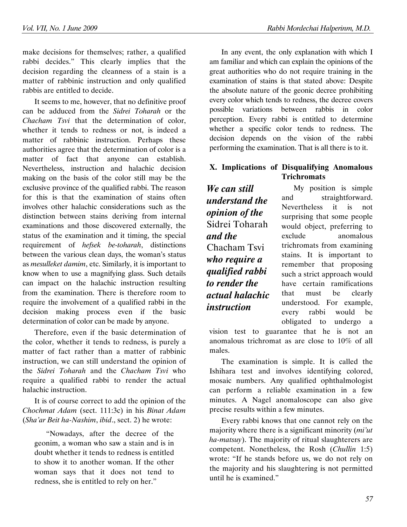make decisions for themselves; rather, a qualified rabbi decides." This clearly implies that the decision regarding the cleanness of a stain is a matter of rabbinic instruction and only qualified rabbis are entitled to decide.

It seems to me, however, that no definitive proof can be adduced from the Sidrei Toharah or the Chacham Tsvi that the determination of color, whether it tends to redness or not, is indeed a matter of rabbinic instruction. Perhaps these authorities agree that the determination of color is a matter of fact that anyone can establish. Nevertheless, instruction and halachic decision making on the basis of the color still may be the exclusive province of the qualified rabbi. The reason for this is that the examination of stains often involves other halachic considerations such as the distinction between stains deriving from internal examinations and those discovered externally, the status of the examination and it timing, the special requirement of hefsek be-toharah, distinctions between the various clean days, the woman's status as mesulleket damim, etc. Similarly, it is important to know when to use a magnifying glass. Such details can impact on the halachic instruction resulting from the examination. There is therefore room to require the involvement of a qualified rabbi in the decision making process even if the basic determination of color can be made by anyone.

Therefore, even if the basic determination of the color, whether it tends to redness, is purely a matter of fact rather than a matter of rabbinic instruction, we can still understand the opinion of the Sidrei Toharah and the Chacham Tsvi who require a qualified rabbi to render the actual halachic instruction.

It is of course correct to add the opinion of the Chochmat Adam (sect. 111:3c) in his Binat Adam (Sha'ar Beit ha-Nashim, ibid., sect. 2) he wrote:

"Nowadays, after the decree of the geonim, a woman who saw a stain and is in doubt whether it tends to redness is entitled to show it to another woman. If the other woman says that it does not tend to redness, she is entitled to rely on her."

In any event, the only explanation with which I am familiar and which can explain the opinions of the great authorities who do not require training in the examination of stains is that stated above: Despite the absolute nature of the geonic decree prohibiting every color which tends to redness, the decree covers possible variations between rabbis in color perception. Every rabbi is entitled to determine whether a specific color tends to redness. The decision depends on the vision of the rabbi performing the examination. That is all there is to it.

## X. Implications of Disqualifying Anomalous **Trichromats**

We can still understand the opinion of the Sidrei Toharah and the Chacham Tsvi who require a qualified rabbi to render the actual halachic instruction

My position is simple and straightforward. Nevertheless it is not surprising that some people would object, preferring to exclude anomalous trichromats from examining stains. It is important to remember that proposing such a strict approach would have certain ramifications that must be clearly understood. For example, every rabbi would be obligated to undergo a

vision test to guarantee that he is not an anomalous trichromat as are close to 10% of all males.

The examination is simple. It is called the Ishihara test and involves identifying colored, mosaic numbers. Any qualified ophthalmologist can perform a reliable examination in a few minutes. A Nagel anomaloscope can also give precise results within a few minutes.

Every rabbi knows that one cannot rely on the majority where there is a significant minority (mi'ut ha-matsuy). The majority of ritual slaughterers are competent. Nonetheless, the Rosh (Chullin 1:5) wrote: "If he stands before us, we do not rely on the majority and his slaughtering is not permitted until he is examined."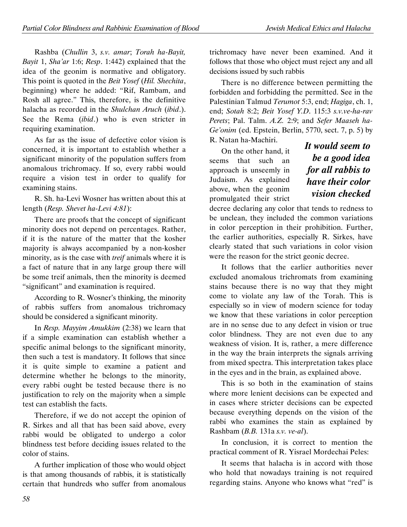Rashba (Chullin 3, s.v. amar; Torah ha-Bayit, Bayit 1, Sha'ar 1:6; Resp. 1:442) explained that the idea of the geonim is normative and obligatory. This point is quoted in the Beit Yosef (Hil. Shechita, beginning) where he added: "Rif, Rambam, and Rosh all agree." This, therefore, is the definitive halacha as recorded in the Shulchan Aruch (ibid.). See the Rema (ibid.) who is even stricter in requiring examination.

As far as the issue of defective color vision is concerned, it is important to establish whether a significant minority of the population suffers from anomalous trichromacy. If so, every rabbi would require a vision test in order to qualify for examining stains.

R. Sh. ha-Levi Wosner has written about this at length (Resp. Shevet ha-Levi 4:81):

There are proofs that the concept of significant minority does not depend on percentages. Rather, if it is the nature of the matter that the kosher majority is always accompanied by a non-kosher minority, as is the case with treif animals where it is a fact of nature that in any large group there will be some treif animals, then the minority is deemed "significant" and examination is required.

According to R. Wosner's thinking, the minority of rabbis suffers from anomalous trichromacy should be considered a significant minority.

In Resp. Mayyim Amukkim (2:38) we learn that if a simple examination can establish whether a specific animal belongs to the significant minority, then such a test is mandatory. It follows that since it is quite simple to examine a patient and determine whether he belongs to the minority, every rabbi ought be tested because there is no justification to rely on the majority when a simple test can establish the facts.

Therefore, if we do not accept the opinion of R. Sirkes and all that has been said above, every rabbi would be obligated to undergo a color blindness test before deciding issues related to the color of stains.

A further implication of those who would object is that among thousands of rabbis, it is statistically certain that hundreds who suffer from anomalous

trichromacy have never been examined. And it follows that those who object must reject any and all decisions issued by such rabbis

There is no difference between permitting the forbidden and forbidding the permitted. See in the Palestinian Talmud Terumot 5:3, end; Hagiga, ch. 1, end; Sotah 8:2; Beit Yosef Y.D. 115:3 s.v.ve-ha-rav Perets; Pal. Talm. A.Z. 2:9; and Sefer Maaseh ha-Ge'onim (ed. Epstein, Berlin, 5770, sect. 7, p. 5) by R. Natan ha-Machiri.

On the other hand, it seems that such an approach is unseemly in Judaism. As explained above, when the geonim promulgated their strict

It would seem to be a good idea for all rabbis to have their color vision checked

decree declaring any color that tends to redness to be unclean, they included the common variations in color perception in their prohibition. Further, the earlier authorities, especially R. Sirkes, have clearly stated that such variations in color vision were the reason for the strict geonic decree.

It follows that the earlier authorities never excluded anomalous trichromats from examining stains because there is no way that they might come to violate any law of the Torah. This is especially so in view of modern science for today we know that these variations in color perception are in no sense due to any defect in vision or true color blindness. They are not even due to any weakness of vision. It is, rather, a mere difference in the way the brain interprets the signals arriving from mixed spectra. This interpretation takes place in the eyes and in the brain, as explained above.

This is so both in the examination of stains where more lenient decisions can be expected and in cases where stricter decisions can be expected because everything depends on the vision of the rabbi who examines the stain as explained by Rashbam (B.B. 131a s.v. ve-al).

In conclusion, it is correct to mention the practical comment of R. Yisrael Mordechai Peles:

It seems that halacha is in accord with those who hold that nowadays training is not required regarding stains. Anyone who knows what "red" is